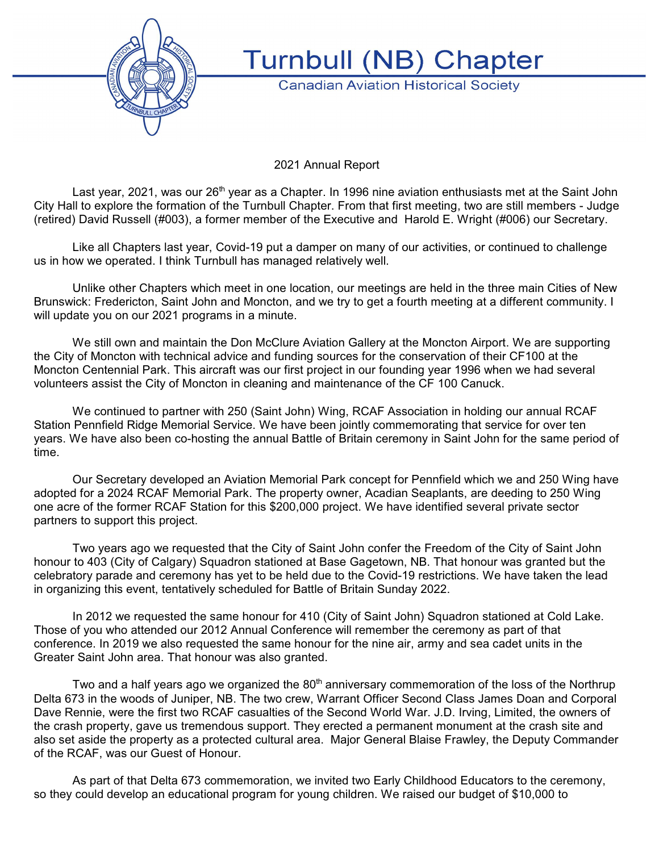

**Turnbull (NB) Chapter** 

**Canadian Aviation Historical Society** 

2021 Annual Report

Last year, 2021, was our 26<sup>th</sup> year as a Chapter. In 1996 nine aviation enthusiasts met at the Saint John City Hall to explore the formation of the Turnbull Chapter. From that first meeting, two are still members - Judge (retired) David Russell (#003), a former member of the Executive and Harold E. Wright (#006) our Secretary.

Like all Chapters last year, Covid-19 put a damper on many of our activities, or continued to challenge us in how we operated. I think Turnbull has managed relatively well.

Unlike other Chapters which meet in one location, our meetings are held in the three main Cities of New Brunswick: Fredericton, Saint John and Moncton, and we try to get a fourth meeting at a different community. I will update you on our 2021 programs in a minute.

We still own and maintain the Don McClure Aviation Gallery at the Moncton Airport. We are supporting the City of Moncton with technical advice and funding sources for the conservation of their CF100 at the Moncton Centennial Park. This aircraft was our first project in our founding year 1996 when we had several volunteers assist the City of Moncton in cleaning and maintenance of the CF 100 Canuck.

We continued to partner with 250 (Saint John) Wing, RCAF Association in holding our annual RCAF Station Pennfield Ridge Memorial Service. We have been jointly commemorating that service for over ten years. We have also been co-hosting the annual Battle of Britain ceremony in Saint John for the same period of time.

Our Secretary developed an Aviation Memorial Park concept for Pennfield which we and 250 Wing have adopted for a 2024 RCAF Memorial Park. The property owner, Acadian Seaplants, are deeding to 250 Wing one acre of the former RCAF Station for this \$200,000 project. We have identified several private sector partners to support this project.

Two years ago we requested that the City of Saint John confer the Freedom of the City of Saint John honour to 403 (City of Calgary) Squadron stationed at Base Gagetown, NB. That honour was granted but the celebratory parade and ceremony has yet to be held due to the Covid-19 restrictions. We have taken the lead in organizing this event, tentatively scheduled for Battle of Britain Sunday 2022.

In 2012 we requested the same honour for 410 (City of Saint John) Squadron stationed at Cold Lake. Those of you who attended our 2012 Annual Conference will remember the ceremony as part of that conference. In 2019 we also requested the same honour for the nine air, army and sea cadet units in the Greater Saint John area. That honour was also granted.

Two and a half years ago we organized the 80<sup>th</sup> anniversary commemoration of the loss of the Northrup Delta 673 in the woods of Juniper, NB. The two crew, Warrant Officer Second Class James Doan and Corporal Dave Rennie, were the first two RCAF casualties of the Second World War. J.D. Irving, Limited, the owners of the crash property, gave us tremendous support. They erected a permanent monument at the crash site and also set aside the property as a protected cultural area. Major General Blaise Frawley, the Deputy Commander of the RCAF, was our Guest of Honour.

As part of that Delta 673 commemoration, we invited two Early Childhood Educators to the ceremony, so they could develop an educational program for young children. We raised our budget of \$10,000 to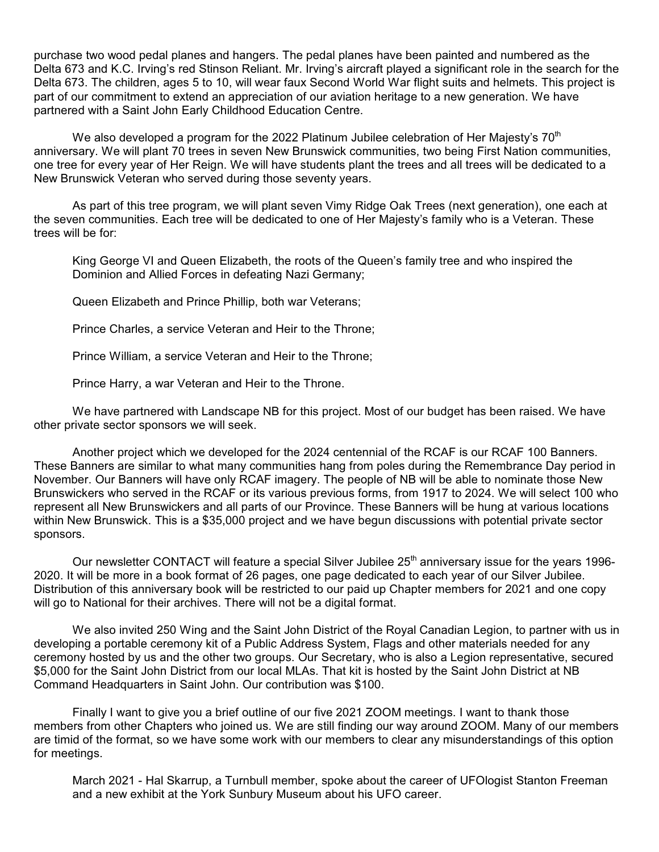purchase two wood pedal planes and hangers. The pedal planes have been painted and numbered as the Delta 673 and K.C. Irving's red Stinson Reliant. Mr. Irving's aircraft played a significant role in the search for the Delta 673. The children, ages 5 to 10, will wear faux Second World War flight suits and helmets. This project is part of our commitment to extend an appreciation of our aviation heritage to a new generation. We have partnered with a Saint John Early Childhood Education Centre.

We also developed a program for the 2022 Platinum Jubilee celebration of Her Majesty's 70<sup>th</sup> anniversary. We will plant 70 trees in seven New Brunswick communities, two being First Nation communities, one tree for every year of Her Reign. We will have students plant the trees and all trees will be dedicated to a New Brunswick Veteran who served during those seventy years.

As part of this tree program, we will plant seven Vimy Ridge Oak Trees (next generation), one each at the seven communities. Each tree will be dedicated to one of Her Majesty's family who is a Veteran. These trees will be for:

King George VI and Queen Elizabeth, the roots of the Queen's family tree and who inspired the Dominion and Allied Forces in defeating Nazi Germany;

Queen Elizabeth and Prince Phillip, both war Veterans;

Prince Charles, a service Veteran and Heir to the Throne;

Prince William, a service Veteran and Heir to the Throne;

Prince Harry, a war Veteran and Heir to the Throne.

We have partnered with Landscape NB for this project. Most of our budget has been raised. We have other private sector sponsors we will seek.

Another project which we developed for the 2024 centennial of the RCAF is our RCAF 100 Banners. These Banners are similar to what many communities hang from poles during the Remembrance Day period in November. Our Banners will have only RCAF imagery. The people of NB will be able to nominate those New Brunswickers who served in the RCAF or its various previous forms, from 1917 to 2024. We will select 100 who represent all New Brunswickers and all parts of our Province. These Banners will be hung at various locations within New Brunswick. This is a \$35,000 project and we have begun discussions with potential private sector sponsors.

Our newsletter CONTACT will feature a special Silver Jubilee 25<sup>th</sup> anniversary issue for the years 1996-2020. It will be more in a book format of 26 pages, one page dedicated to each year of our Silver Jubilee. Distribution of this anniversary book will be restricted to our paid up Chapter members for 2021 and one copy will go to National for their archives. There will not be a digital format.

We also invited 250 Wing and the Saint John District of the Royal Canadian Legion, to partner with us in developing a portable ceremony kit of a Public Address System, Flags and other materials needed for any ceremony hosted by us and the other two groups. Our Secretary, who is also a Legion representative, secured \$5,000 for the Saint John District from our local MLAs. That kit is hosted by the Saint John District at NB Command Headquarters in Saint John. Our contribution was \$100.

Finally I want to give you a brief outline of our five 2021 ZOOM meetings. I want to thank those members from other Chapters who joined us. We are still finding our way around ZOOM. Many of our members are timid of the format, so we have some work with our members to clear any misunderstandings of this option for meetings.

March 2021 - Hal Skarrup, a Turnbull member, spoke about the career of UFOlogist Stanton Freeman and a new exhibit at the York Sunbury Museum about his UFO career.